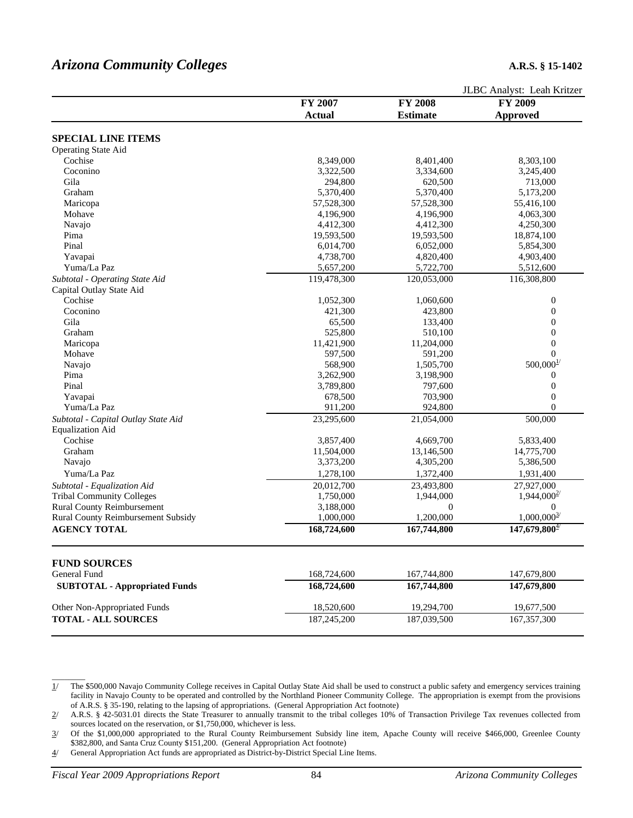# *Arizona Community Colleges* **A.R.S. § 15-1402**

|                                      | FY 2007       | <b>FY 2008</b>   | JLDU AIIAIYSI. LEAII NHLZEI<br>FY 2009 |
|--------------------------------------|---------------|------------------|----------------------------------------|
|                                      | <b>Actual</b> | <b>Estimate</b>  |                                        |
|                                      |               |                  | <b>Approved</b>                        |
| <b>SPECIAL LINE ITEMS</b>            |               |                  |                                        |
| <b>Operating State Aid</b>           |               |                  |                                        |
| Cochise                              | 8,349,000     | 8,401,400        | 8,303,100                              |
| Coconino                             | 3,322,500     | 3,334,600        | 3,245,400                              |
| Gila                                 | 294,800       | 620,500          | 713,000                                |
| Graham                               | 5,370,400     | 5,370,400        | 5,173,200                              |
| Maricopa                             | 57,528,300    | 57,528,300       | 55,416,100                             |
| Mohave                               | 4,196,900     | 4,196,900        | 4,063,300                              |
| Navajo                               | 4,412,300     | 4,412,300        | 4,250,300                              |
| Pima                                 | 19,593,500    | 19,593,500       | 18,874,100                             |
| Pinal                                | 6,014,700     | 6,052,000        | 5,854,300                              |
| Yavapai                              | 4,738,700     | 4,820,400        | 4,903,400                              |
| Yuma/La Paz                          | 5,657,200     | 5,722,700        | 5,512,600                              |
| Subtotal - Operating State Aid       | 119,478,300   | 120,053,000      | 116,308,800                            |
| Capital Outlay State Aid             |               |                  |                                        |
| Cochise                              | 1,052,300     | 1,060,600        | $\boldsymbol{0}$                       |
| Coconino                             | 421,300       | 423,800          | $\boldsymbol{0}$                       |
| Gila                                 | 65,500        | 133,400          | $\boldsymbol{0}$                       |
| Graham                               | 525,800       | 510,100          | $\boldsymbol{0}$                       |
| Maricopa                             | 11,421,900    | 11,204,000       | $\boldsymbol{0}$                       |
| Mohave                               | 597,500       | 591,200          | $\theta$                               |
| Navajo                               | 568,900       | 1,505,700        | $500,000^{1/2}$                        |
| Pima                                 | 3,262,900     | 3,198,900        | $\boldsymbol{0}$                       |
| Pinal                                | 3,789,800     | 797,600          | $\boldsymbol{0}$                       |
| Yavapai                              | 678,500       | 703,900          | $\boldsymbol{0}$                       |
| Yuma/La Paz                          | 911,200       | 924,800          | $\boldsymbol{0}$                       |
|                                      | 23,295,600    | 21,054,000       | 500,000                                |
| Subtotal - Capital Outlay State Aid  |               |                  |                                        |
| <b>Equalization Aid</b>              |               |                  |                                        |
| Cochise                              | 3,857,400     | 4,669,700        | 5,833,400                              |
| Graham                               | 11,504,000    | 13,146,500       | 14,775,700                             |
| Navajo                               | 3,373,200     | 4,305,200        | 5,386,500                              |
| Yuma/La Paz                          | 1,278,100     | 1,372,400        | 1,931,400                              |
| Subtotal - Equalization Aid          | 20,012,700    | 23,493,800       | 27,927,000                             |
| <b>Tribal Community Colleges</b>     | 1,750,000     | 1,944,000        | $1,944,000^{27}$                       |
| <b>Rural County Reimbursement</b>    | 3,188,000     | $\boldsymbol{0}$ | $\mathbf{0}$                           |
| Rural County Reimbursement Subsidy   | 1,000,000     | 1,200,000        | $1,000,000^{\frac{3}{2}}$              |
| <b>AGENCY TOTAL</b>                  | 168,724,600   | 167,744,800      | $147,679,800^{4/2}$                    |
| <b>FUND SOURCES</b>                  |               |                  |                                        |
| General Fund                         | 168,724,600   | 167,744,800      | 147,679,800                            |
| <b>SUBTOTAL - Appropriated Funds</b> | 168,724,600   | 167,744,800      | 147,679,800                            |
| Other Non-Appropriated Funds         | 18,520,600    | 19,294,700       | 19,677,500                             |
| <b>TOTAL - ALL SOURCES</b>           | 187,245,200   | 187,039,500      | 167, 357, 300                          |
|                                      |               |                  |                                        |
|                                      |               |                  |                                        |

1/ The \$500,000 Navajo Community College receives in Capital Outlay State Aid shall be used to construct a public safety and emergency services training facility in Navajo County to be operated and controlled by the Northland Pioneer Community College. The appropriation is exempt from the provisions of A.R.S. § 35-190, relating to the lapsing of appropriations. (General Appropriation Act footnote)

2/ A.R.S. § 42-5031.01 directs the State Treasurer to annually transmit to the tribal colleges 10% of Transaction Privilege Tax revenues collected from sources located on the reservation, or \$1,750,000, whichever is less.

3/ Of the \$1,000,000 appropriated to the Rural County Reimbursement Subsidy line item, Apache County will receive \$466,000, Greenlee County \$382,800, and Santa Cruz County \$151,200. (General Appropriation Act footnote)

4/ General Appropriation Act funds are appropriated as District-by-District Special Line Items.

 $\overline{\phantom{a}}$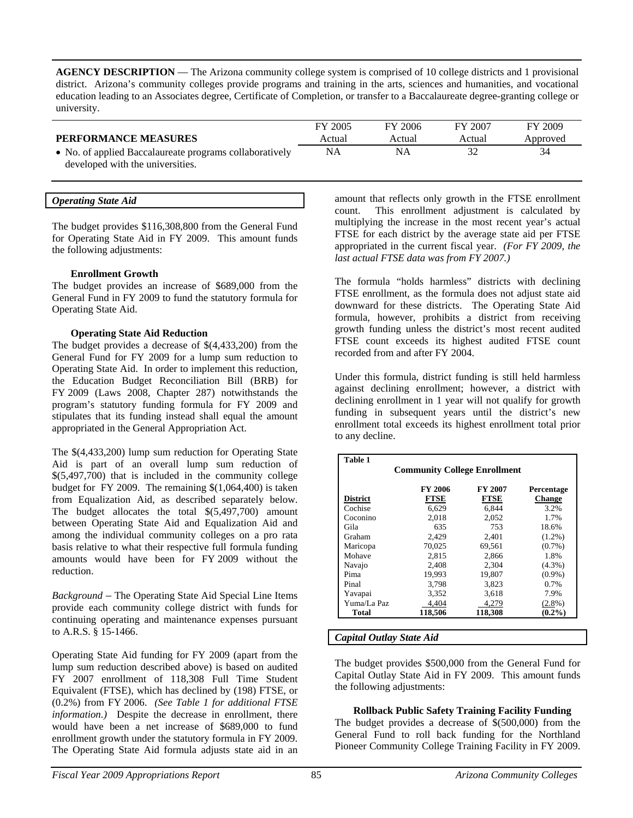**AGENCY DESCRIPTION** — The Arizona community college system is comprised of 10 college districts and 1 provisional district. Arizona's community colleges provide programs and training in the arts, sciences and humanities, and vocational education leading to an Associates degree, Certificate of Completion, or transfer to a Baccalaureate degree-granting college or university.

|                                                         | FY 2005 | FY 2006 | FY 2007 | FY 2009  |
|---------------------------------------------------------|---------|---------|---------|----------|
| <b>PERFORMANCE MEASURES</b>                             | Actual  | Actual  | Actual  | Approved |
| • No. of applied Baccalaureate programs collaboratively | NA      | ΝA      |         | 34       |
| developed with the universities.                        |         |         |         |          |

| <b>Operating State Aid</b> |  |
|----------------------------|--|
|----------------------------|--|

The budget provides \$116,308,800 from the General Fund for Operating State Aid in FY 2009. This amount funds the following adjustments:

#### **Enrollment Growth**

The budget provides an increase of \$689,000 from the General Fund in FY 2009 to fund the statutory formula for Operating State Aid.

#### **Operating State Aid Reduction**

The budget provides a decrease of \$(4,433,200) from the General Fund for FY 2009 for a lump sum reduction to Operating State Aid. In order to implement this reduction, the Education Budget Reconciliation Bill (BRB) for FY 2009 (Laws 2008, Chapter 287) notwithstands the program's statutory funding formula for FY 2009 and stipulates that its funding instead shall equal the amount appropriated in the General Appropriation Act.

The \$(4,433,200) lump sum reduction for Operating State Aid is part of an overall lump sum reduction of \$(5,497,700) that is included in the community college budget for FY 2009. The remaining \$(1,064,400) is taken from Equalization Aid, as described separately below. The budget allocates the total  $\$(5,497,700)$  amount between Operating State Aid and Equalization Aid and among the individual community colleges on a pro rata basis relative to what their respective full formula funding amounts would have been for FY 2009 without the reduction.

*Background* – The Operating State Aid Special Line Items provide each community college district with funds for continuing operating and maintenance expenses pursuant to A.R.S. § 15-1466.

Operating State Aid funding for FY 2009 (apart from the lump sum reduction described above) is based on audited FY 2007 enrollment of 118,308 Full Time Student Equivalent (FTSE), which has declined by (198) FTSE, or (0.2%) from FY 2006. *(See Table 1 for additional FTSE information.)* Despite the decrease in enrollment, there would have been a net increase of \$689,000 to fund enrollment growth under the statutory formula in FY 2009. The Operating State Aid formula adjusts state aid in an amount that reflects only growth in the FTSE enrollment count. This enrollment adjustment is calculated by multiplying the increase in the most recent year's actual FTSE for each district by the average state aid per FTSE appropriated in the current fiscal year. *(For FY 2009, the last actual FTSE data was from FY 2007.)*

The formula "holds harmless" districts with declining FTSE enrollment, as the formula does not adjust state aid downward for these districts. The Operating State Aid formula, however, prohibits a district from receiving growth funding unless the district's most recent audited FTSE count exceeds its highest audited FTSE count recorded from and after FY 2004.

Under this formula, district funding is still held harmless against declining enrollment; however, a district with declining enrollment in 1 year will not qualify for growth funding in subsequent years until the district's new enrollment total exceeds its highest enrollment total prior to any decline.

| <b>Table 1</b>                      |             |             |               |  |  |  |
|-------------------------------------|-------------|-------------|---------------|--|--|--|
| <b>Community College Enrollment</b> |             |             |               |  |  |  |
|                                     | FY 2006     | FY 2007     | Percentage    |  |  |  |
| <b>District</b>                     | <b>FTSE</b> | <b>FTSE</b> | <b>Change</b> |  |  |  |
| Cochise                             | 6.629       | 6,844       | 3.2%          |  |  |  |
| Coconino                            | 2.018       | 2.052       | 1.7%          |  |  |  |
| Gila                                | 635         | 753         | 18.6%         |  |  |  |
| Graham                              | 2,429       | 2,401       | $(1.2\%)$     |  |  |  |
| Maricopa                            | 70,025      | 69.561      | $(0.7\%)$     |  |  |  |
| Mohave                              | 2.815       | 2,866       | 1.8%          |  |  |  |
| Navajo                              | 2.408       | 2.304       | $(4.3\%)$     |  |  |  |
| Pima                                | 19,993      | 19,807      | $(0.9\%)$     |  |  |  |
| Pinal                               | 3.798       | 3.823       | 0.7%          |  |  |  |
| Yavapai                             | 3,352       | 3,618       | 7.9%          |  |  |  |
| Yuma/La Paz                         | 4.404       | 4,279       | $(2.8\%)$     |  |  |  |
| Total                               | 118.506     | 118.308     | $(0.2\%)$     |  |  |  |

#### *Capital Outlay State Aid*

The budget provides \$500,000 from the General Fund for Capital Outlay State Aid in FY 2009. This amount funds the following adjustments:

### **Rollback Public Safety Training Facility Funding**

The budget provides a decrease of \$(500,000) from the General Fund to roll back funding for the Northland Pioneer Community College Training Facility in FY 2009.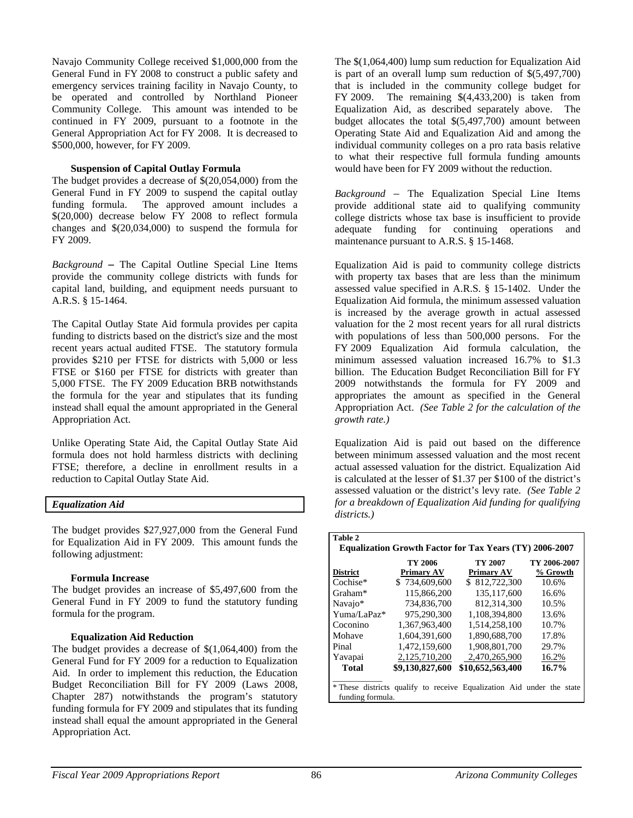Navajo Community College received \$1,000,000 from the General Fund in FY 2008 to construct a public safety and emergency services training facility in Navajo County, to be operated and controlled by Northland Pioneer Community College. This amount was intended to be continued in FY 2009, pursuant to a footnote in the General Appropriation Act for FY 2008. It is decreased to \$500,000, however, for FY 2009.

## **Suspension of Capital Outlay Formula**

The budget provides a decrease of \$(20,054,000) from the General Fund in FY 2009 to suspend the capital outlay funding formula. The approved amount includes a \$(20,000) decrease below FY 2008 to reflect formula changes and \$(20,034,000) to suspend the formula for FY 2009.

*Background* **–** The Capital Outline Special Line Items provide the community college districts with funds for capital land, building, and equipment needs pursuant to A.R.S. § 15-1464.

The Capital Outlay State Aid formula provides per capita funding to districts based on the district's size and the most recent years actual audited FTSE. The statutory formula provides \$210 per FTSE for districts with 5,000 or less FTSE or \$160 per FTSE for districts with greater than 5,000 FTSE. The FY 2009 Education BRB notwithstands the formula for the year and stipulates that its funding instead shall equal the amount appropriated in the General Appropriation Act.

Unlike Operating State Aid, the Capital Outlay State Aid formula does not hold harmless districts with declining FTSE; therefore, a decline in enrollment results in a reduction to Capital Outlay State Aid.

### *Equalization Aid*

The budget provides \$27,927,000 from the General Fund for Equalization Aid in FY 2009. This amount funds the following adjustment:

### **Formula Increase**

The budget provides an increase of \$5,497,600 from the General Fund in FY 2009 to fund the statutory funding formula for the program.

### **Equalization Aid Reduction**

The budget provides a decrease of \$(1,064,400) from the General Fund for FY 2009 for a reduction to Equalization Aid. In order to implement this reduction, the Education Budget Reconciliation Bill for FY 2009 (Laws 2008, Chapter 287) notwithstands the program's statutory funding formula for FY 2009 and stipulates that its funding instead shall equal the amount appropriated in the General Appropriation Act.

The \$(1,064,400) lump sum reduction for Equalization Aid is part of an overall lump sum reduction of \$(5,497,700) that is included in the community college budget for FY 2009. The remaining \$(4,433,200) is taken from Equalization Aid, as described separately above. The budget allocates the total \$(5,497,700) amount between Operating State Aid and Equalization Aid and among the individual community colleges on a pro rata basis relative to what their respective full formula funding amounts would have been for FY 2009 without the reduction.

*Background* – The Equalization Special Line Items provide additional state aid to qualifying community college districts whose tax base is insufficient to provide adequate funding for continuing operations and maintenance pursuant to A.R.S. § 15-1468.

Equalization Aid is paid to community college districts with property tax bases that are less than the minimum assessed value specified in A.R.S. § 15-1402. Under the Equalization Aid formula, the minimum assessed valuation is increased by the average growth in actual assessed valuation for the 2 most recent years for all rural districts with populations of less than 500,000 persons. For the FY 2009 Equalization Aid formula calculation, the minimum assessed valuation increased 16.7% to \$1.3 billion. The Education Budget Reconciliation Bill for FY 2009 notwithstands the formula for FY 2009 and appropriates the amount as specified in the General Appropriation Act. *(See Table 2 for the calculation of the growth rate.)* 

Equalization Aid is paid out based on the difference between minimum assessed valuation and the most recent actual assessed valuation for the district. Equalization Aid is calculated at the lesser of \$1.37 per \$100 of the district's assessed valuation or the district's levy rate. *(See Table 2 for a breakdown of Equalization Aid funding for qualifying districts.)* 

| Table 2                                                        |                   |                                                                       |              |  |  |  |  |
|----------------------------------------------------------------|-------------------|-----------------------------------------------------------------------|--------------|--|--|--|--|
| <b>Equalization Growth Factor for Tax Years (TY) 2006-2007</b> |                   |                                                                       |              |  |  |  |  |
|                                                                | TY 2006           | TY 2007                                                               | TY 2006-2007 |  |  |  |  |
| <b>District</b>                                                | <b>Primary AV</b> | Primary AV                                                            | % Growth     |  |  |  |  |
| Cochise*                                                       | \$734,609,600     | \$812,722,300                                                         | 10.6%        |  |  |  |  |
| Graham*                                                        | 115,866,200       | 135, 117, 600                                                         | 16.6%        |  |  |  |  |
| Navajo*                                                        | 734,836,700       | 812.314.300                                                           | 10.5%        |  |  |  |  |
| Yuma/LaPaz*                                                    | 975,290,300       | 1.108.394.800                                                         | 13.6%        |  |  |  |  |
| Coconino                                                       | 1,367,963,400     | 1,514,258,100                                                         | 10.7%        |  |  |  |  |
| Mohave                                                         | 1,604,391,600     | 1,890,688,700                                                         | 17.8%        |  |  |  |  |
| Pinal                                                          | 1.472.159.600     | 1.908.801.700                                                         | 29.7%        |  |  |  |  |
| Yavapai                                                        | 2,125,710,200     | 2.470.265.900                                                         | 16.2%        |  |  |  |  |
| <b>Total</b>                                                   | \$9,130,827,600   | \$10,652,563,400                                                      | 16.7%        |  |  |  |  |
|                                                                |                   |                                                                       |              |  |  |  |  |
|                                                                |                   | * These districts qualify to receive Equalization Aid under the state |              |  |  |  |  |
| funding formula.                                               |                   |                                                                       |              |  |  |  |  |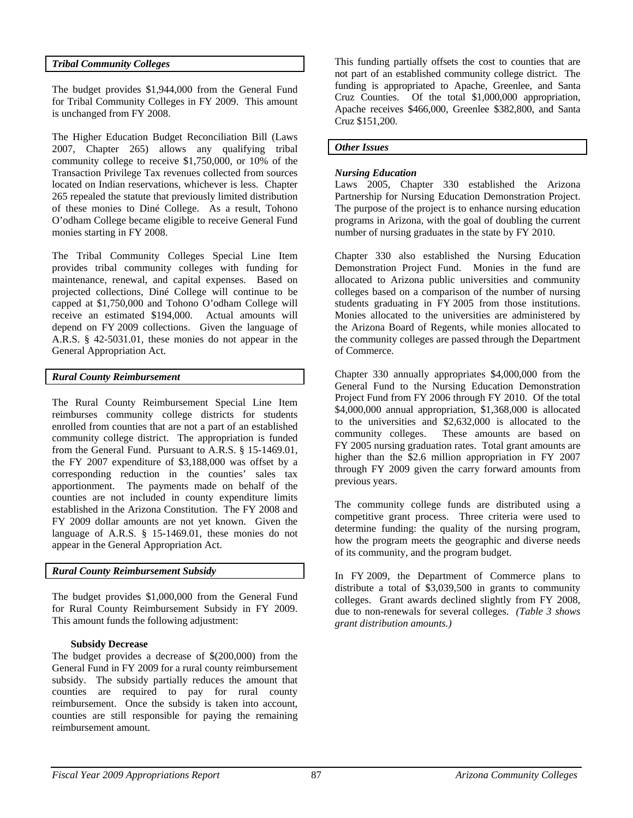# *Tribal Community Colleges*

The budget provides \$1,944,000 from the General Fund for Tribal Community Colleges in FY 2009. This amount is unchanged from FY 2008.

The Higher Education Budget Reconciliation Bill (Laws 2007, Chapter 265) allows any qualifying tribal community college to receive \$1,750,000, or 10% of the Transaction Privilege Tax revenues collected from sources located on Indian reservations, whichever is less. Chapter 265 repealed the statute that previously limited distribution of these monies to Diné College. As a result, Tohono O'odham College became eligible to receive General Fund monies starting in FY 2008.

The Tribal Community Colleges Special Line Item provides tribal community colleges with funding for maintenance, renewal, and capital expenses. Based on projected collections, Diné College will continue to be capped at \$1,750,000 and Tohono O'odham College will receive an estimated \$194,000. Actual amounts will depend on FY 2009 collections.Given the language of A.R.S. § 42-5031.01, these monies do not appear in the General Appropriation Act.

# *Rural County Reimbursement*

The Rural County Reimbursement Special Line Item reimburses community college districts for students enrolled from counties that are not a part of an established community college district. The appropriation is funded from the General Fund. Pursuant to A.R.S. § 15-1469.01, the FY 2007 expenditure of \$3,188,000 was offset by a corresponding reduction in the counties' sales tax apportionment. The payments made on behalf of the counties are not included in county expenditure limits established in the Arizona Constitution. The FY 2008 and FY 2009 dollar amounts are not yet known. Given the language of A.R.S. § 15-1469.01, these monies do not appear in the General Appropriation Act.

## *Rural County Reimbursement Subsidy*

The budget provides \$1,000,000 from the General Fund for Rural County Reimbursement Subsidy in FY 2009. This amount funds the following adjustment:

### **Subsidy Decrease**

The budget provides a decrease of \$(200,000) from the General Fund in FY 2009 for a rural county reimbursement subsidy. The subsidy partially reduces the amount that counties are required to pay for rural county reimbursement. Once the subsidy is taken into account, counties are still responsible for paying the remaining reimbursement amount.

This funding partially offsets the cost to counties that are not part of an established community college district. The funding is appropriated to Apache, Greenlee, and Santa Cruz Counties. Of the total \$1,000,000 appropriation, Apache receives \$466,000, Greenlee \$382,800, and Santa Cruz \$151,200.

### *Other Issues*

#### *Nursing Education*

Laws 2005, Chapter 330 established the Arizona Partnership for Nursing Education Demonstration Project. The purpose of the project is to enhance nursing education programs in Arizona, with the goal of doubling the current number of nursing graduates in the state by FY 2010.

Chapter 330 also established the Nursing Education Demonstration Project Fund. Monies in the fund are allocated to Arizona public universities and community colleges based on a comparison of the number of nursing students graduating in FY 2005 from those institutions. Monies allocated to the universities are administered by the Arizona Board of Regents, while monies allocated to the community colleges are passed through the Department of Commerce.

Chapter 330 annually appropriates \$4,000,000 from the General Fund to the Nursing Education Demonstration Project Fund from FY 2006 through FY 2010. Of the total \$4,000,000 annual appropriation, \$1,368,000 is allocated to the universities and \$2,632,000 is allocated to the community colleges. These amounts are based on FY 2005 nursing graduation rates. Total grant amounts are higher than the \$2.6 million appropriation in FY 2007 through FY 2009 given the carry forward amounts from previous years.

The community college funds are distributed using a competitive grant process. Three criteria were used to determine funding: the quality of the nursing program, how the program meets the geographic and diverse needs of its community, and the program budget.

In FY 2009, the Department of Commerce plans to distribute a total of \$3,039,500 in grants to community colleges. Grant awards declined slightly from FY 2008, due to non-renewals for several colleges. *(Table 3 shows grant distribution amounts.)*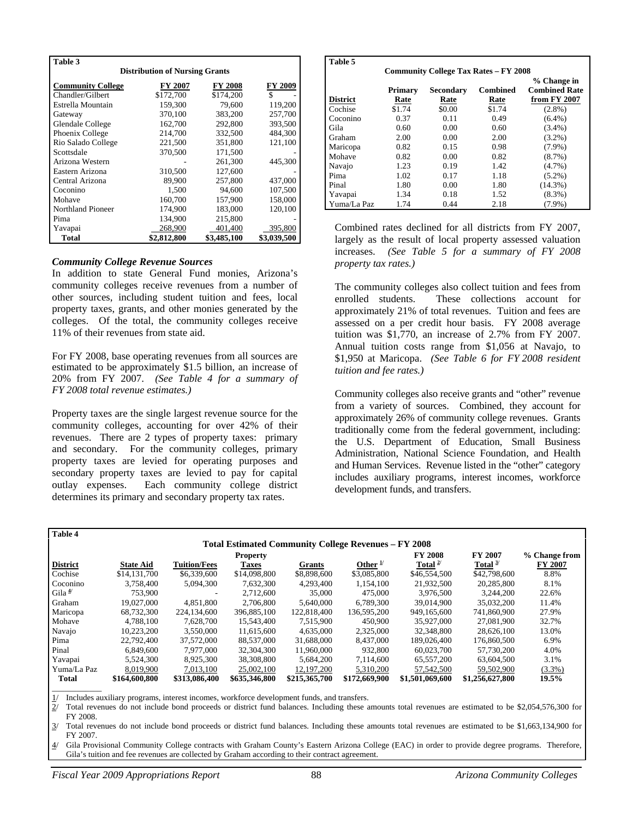| Table 3                               |             |                |             |  |  |  |
|---------------------------------------|-------------|----------------|-------------|--|--|--|
| <b>Distribution of Nursing Grants</b> |             |                |             |  |  |  |
| <b>Community College</b>              | FY 2007     | <b>FY 2008</b> | FY 2009     |  |  |  |
| Chandler/Gilbert                      | \$172,700   | \$174,200      | \$          |  |  |  |
| Estrella Mountain                     | 159.300     | 79.600         | 119,200     |  |  |  |
| Gateway                               | 370,100     | 383,200        | 257,700     |  |  |  |
| Glendale College                      | 162,700     | 292,800        | 393,500     |  |  |  |
| Phoenix College                       | 214.700     | 332.500        | 484,300     |  |  |  |
| Rio Salado College                    | 221,500     | 351,800        | 121,100     |  |  |  |
| Scottsdale                            | 370,500     | 171,500        |             |  |  |  |
| Arizona Western                       |             | 261.300        | 445,300     |  |  |  |
| Eastern Arizona                       | 310,500     | 127,600        |             |  |  |  |
| Central Arizona                       | 89.900      | 257,800        | 437,000     |  |  |  |
| Coconino                              | 1,500       | 94,600         | 107,500     |  |  |  |
| Mohave                                | 160,700     | 157,900        | 158,000     |  |  |  |
| Northland Pioneer                     | 174.900     | 183,000        | 120,100     |  |  |  |
| Pima                                  | 134,900     | 215,800        |             |  |  |  |
| Yavapai                               | 268,900     | 401,400        | 395,800     |  |  |  |
| Total                                 | \$2,812,800 | \$3,485,100    | \$3,039,500 |  |  |  |

#### *Community College Revenue Sources*

In addition to state General Fund monies, Arizona's community colleges receive revenues from a number of other sources, including student tuition and fees, local property taxes, grants, and other monies generated by the colleges. Of the total, the community colleges receive 11% of their revenues from state aid.

For FY 2008, base operating revenues from all sources are estimated to be approximately \$1.5 billion, an increase of 20% from FY 2007. *(See Table 4 for a summary of FY 2008 total revenue estimates.)* 

Property taxes are the single largest revenue source for the community colleges, accounting for over 42% of their revenues. There are 2 types of property taxes: primary and secondary. For the community colleges, primary property taxes are levied for operating purposes and secondary property taxes are levied to pay for capital outlay expenses. Each community college district determines its primary and secondary property tax rates.

| Table 5<br><b>Community College Tax Rates - FY 2008</b> |         |           |                 |                                     |  |  |
|---------------------------------------------------------|---------|-----------|-----------------|-------------------------------------|--|--|
|                                                         | Primary | Secondary | <b>Combined</b> | % Change in<br><b>Combined Rate</b> |  |  |
| <b>District</b>                                         | Rate    | Rate      | Rate            | from FY 2007                        |  |  |
| Cochise                                                 | \$1.74  | \$0.00    | \$1.74          | $(2.8\%)$                           |  |  |
| Coconino                                                | 0.37    | 0.11      | 0.49            | $(6.4\%)$                           |  |  |
| Gila                                                    | 0.60    | 0.00      | 0.60            | $(3.4\%)$                           |  |  |
| Graham                                                  | 2.00    | 0.00      | 2.00            | $(3.2\%)$                           |  |  |
| Maricopa                                                | 0.82    | 0.15      | 0.98            | $(7.9\%)$                           |  |  |
| Mohave                                                  | 0.82    | 0.00      | 0.82            | $(8.7\%)$                           |  |  |
| Navajo                                                  | 1.23    | 0.19      | 1.42            | $(4.7\%)$                           |  |  |
| Pima                                                    | 1.02    | 0.17      | 1.18            | $(5.2\%)$                           |  |  |
| Pinal                                                   | 1.80    | 0.00      | 1.80            | $(14.3\%)$                          |  |  |
| Yavapai                                                 | 1.34    | 0.18      | 1.52            | $(8.3\%)$                           |  |  |
| Yuma/La Paz                                             | 1.74    | 0.44      | 2.18            | $(7.9\%)$                           |  |  |

Combined rates declined for all districts from FY 2007, largely as the result of local property assessed valuation increases. *(See Table 5 for a summary of FY 2008 property tax rates.)* 

The community colleges also collect tuition and fees from enrolled students. These collections account for approximately 21% of total revenues. Tuition and fees are assessed on a per credit hour basis. FY 2008 average tuition was \$1,770, an increase of 2.7% from FY 2007. Annual tuition costs range from \$1,056 at Navajo, to \$1,950 at Maricopa. *(See Table 6 for FY 2008 resident tuition and fee rates.)* 

Community colleges also receive grants and "other" revenue from a variety of sources. Combined, they account for approximately 26% of community college revenues. Grants traditionally come from the federal government, including: the U.S. Department of Education, Small Business Administration, National Science Foundation, and Health and Human Services. Revenue listed in the "other" category includes auxiliary programs, interest incomes, workforce development funds, and transfers.

| Table 4                                                     |                  |                          |                 |               |                     |                 |                 |                |
|-------------------------------------------------------------|------------------|--------------------------|-----------------|---------------|---------------------|-----------------|-----------------|----------------|
| <b>Total Estimated Community College Revenues – FY 2008</b> |                  |                          |                 |               |                     |                 |                 |                |
|                                                             |                  |                          | <b>Property</b> |               |                     | <b>FY 2008</b>  | <b>FY 2007</b>  | % Change from  |
| <b>District</b>                                             | <b>State Aid</b> | <b>Tuition/Fees</b>      | <b>Taxes</b>    | <b>Grants</b> | Other $\frac{1}{2}$ | Total $2^{1/2}$ | Total $3/$      | <b>FY 2007</b> |
| Cochise                                                     | \$14,131,700     | \$6,339,600              | \$14,098,800    | \$8,898,600   | \$3,085,800         | \$46,554,500    | \$42,798,600    | 8.8%           |
| Coconino                                                    | 3.758,400        | 5.094.300                | 7,632,300       | 4,293,400     | 1.154.100           | 21,932,500      | 20,285,800      | 8.1%           |
| Gila <sup>4</sup>                                           | 753,900          | $\overline{\phantom{a}}$ | 2.712,600       | 35,000        | 475,000             | 3.976.500       | 3.244.200       | 22.6%          |
| Graham                                                      | 19.027.000       | 4.851.800                | 2.706.800       | 5.640.000     | 6.789.300           | 39,014,900      | 35,032,200      | 11.4%          |
| Maricopa                                                    | 68,732,300       | 224,134,600              | 396,885,100     | 122,818,400   | 136,595,200         | 949,165,600     | 741,860,900     | 27.9%          |
| Mohave                                                      | 4.788.100        | 7.628.700                | 15.543.400      | 7.515.900     | 450,900             | 35,927,000      | 27,081,900      | 32.7%          |
| Navajo                                                      | 10,223,200       | 3,550,000                | 11,615,600      | 4,635,000     | 2,325,000           | 32,348,800      | 28,626,100      | 13.0%          |
| Pima                                                        | 22,792,400       | 37,572,000               | 88,537,000      | 31,688,000    | 8,437,000           | 189,026,400     | 176,860,500     | 6.9%           |
| Pinal                                                       | 6.849.600        | 7.977.000                | 32, 304, 300    | 11.960,000    | 932,800             | 60,023,700      | 57,730,200      | 4.0%           |
| Yavapai                                                     | 5,524,300        | 8,925,300                | 38,308,800      | 5,684,200     | 7.114.600           | 65,557,200      | 63,604,500      | 3.1%           |
| Yuma/La Paz                                                 | 8,019,900        | 7,013,100                | 25,002,100      | 12.197.200    | 5.310.200           | 57, 542, 500    | 59,502,900      | $(3.3\%)$      |
| <b>Total</b>                                                | \$164,600,800    | \$313,086,400            | \$635,346,800   | \$215,365,700 | \$172,669,900       | \$1,501,069,600 | \$1,256,627,800 | 19.5%          |
|                                                             |                  |                          |                 |               |                     |                 |                 |                |

Includes auxiliary programs, interest incomes, workforce development funds, and transfers.

2/ Total revenues do not include bond proceeds or district fund balances. Including these amounts total revenues are estimated to be \$2,054,576,300 for FY 2008.

3/ Total revenues do not include bond proceeds or district fund balances. Including these amounts total revenues are estimated to be \$1,663,134,900 for FY 2007.

4/ Gila Provisional Community College contracts with Graham County's Eastern Arizona College (EAC) in order to provide degree programs. Therefore, Gila's tuition and fee revenues are collected by Graham according to their contract agreement.